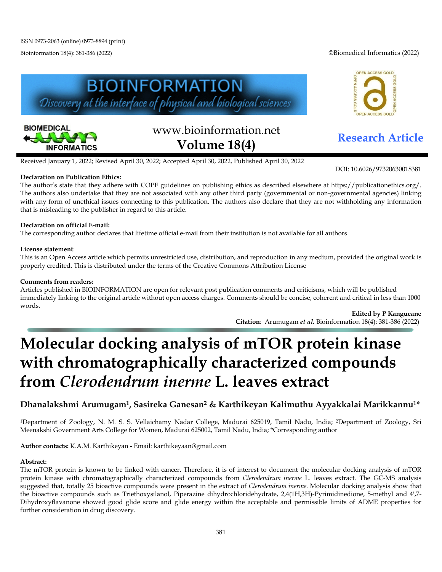Bioinformation 18(4): 381-386 (2022) ©Biomedical Informatics (2022)







# www.bioinformation.net **Research Article Volume 18(4)**

Received January 1, 2022; Revised April 30, 2022; Accepted April 30, 2022, Published April 30, 2022

#### **Declaration on Publication Ethics:**

DOI: 10.6026/97320630018381

The author's state that they adhere with COPE guidelines on publishing ethics as described elsewhere at https://publicationethics.org/. The authors also undertake that they are not associated with any other third party (governmental or non-governmental agencies) linking with any form of unethical issues connecting to this publication. The authors also declare that they are not withholding any information that is misleading to the publisher in regard to this article.

#### **Declaration on official E-mail:**

The corresponding author declares that lifetime official e-mail from their institution is not available for all authors

#### **License statement**:

This is an Open Access article which permits unrestricted use, distribution, and reproduction in any medium, provided the original work is properly credited. This is distributed under the terms of the Creative Commons Attribution License

#### **Comments from readers:**

Articles published in BIOINFORMATION are open for relevant post publication comments and criticisms, which will be published immediately linking to the original article without open access charges. Comments should be concise, coherent and critical in less than 1000 words.

**Edited by P Kangueane Citation**: Arumugam *et al.* Bioinformation 18(4): 381-386 (2022)

## **Molecular docking analysis of mTOR protein kinase with chromatographically characterized compounds from** *Clerodendrum inerme* **L. leaves extract**

### **Dhanalakshmi Arumugam1, Sasireka Ganesan2 & Karthikeyan Kalimuthu Ayyakkalai Marikkannu1\***

1Department of Zoology, N. M. S. S. Vellaichamy Nadar College, Madurai 625019, Tamil Nadu, India; 2Department of Zoology, Sri Meenakshi Government Arts College for Women, Madurai 625002, Tamil Nadu, India; \*Corresponding author

**Author contacts:** K.A.M. Karthikeyan **-** Email: karthikeyaan@gmail.com

#### **Abstract:**

The mTOR protein is known to be linked with cancer. Therefore, it is of interest to document the molecular docking analysis of mTOR protein kinase with chromatographically characterized compounds from *Clerodendrum inerme* L. leaves extract. The GC-MS analysis suggested that, totally 25 bioactive compounds were present in the extract of *Clerodendrum inerme.* Molecular docking analysis show that the bioactive compounds such as Triethoxysilanol, Piperazine dihydrochloridehydrate, 2,4(1H,3H)-Pyrimidinedione, 5-methyl and 4',7- Dihydroxyflavanone showed good glide score and glide energy within the acceptable and permissible limits of ADME properties for further consideration in drug discovery.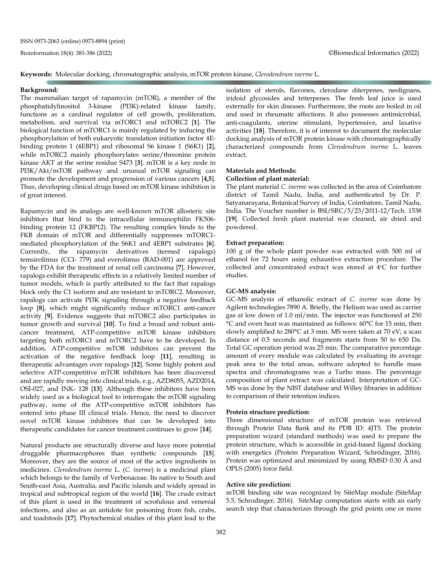**Keywords:** Molecular docking, chromatographic analysis, mTOR protein kinase, *Clerodendrum inerme* L.

#### **Background:**

The mammalian target of rapamycin (mTOR), a member of the phosphatidylinositol 3-kinase (PI3K)-related kinase family, functions as a cardinal regulator of cell growth, proliferation, metabolism, and survival via mTORC1 and mTORC2 [**1**]. The biological function of mTORC1 is mainly regulated by inducing the phosphorylation of both eukaryotic translation initiation factor 4Ebinding protein 1 (4EBP1) and ribosomal S6 kinase 1 (S6K1) [**2**], while mTORC2 mainly phosphorylates serine/threonine protein kinase AKT at the serine residue S473 [**3**]. mTOR is a key node in PI3K/Akt/mTOR pathway and unusual mTOR signaling can promote the development and progression of various cancers [**4,5**]. Thus, developing clinical drugs based on mTOR kinase inhibition is of great interest.

Rapamycin and its analogs are well-known mTOR allosteric site inhibitors that bind to the intracellular immunophilin FK506 binding protein 12 (FKBP12). The resulting complex binds to the FKB domain of mTOR and differentially suppresses mTORC1 mediated phosphorylation of the S6K1 and 4EBP1 substrates [**6**]. Currently, the rapamycin derivatives (termed rapalogs) temsirolimus (CCI- 779) and everolimus (RAD-001) are approved by the FDA for the treatment of renal cell carcinoma [**7**]. However, rapalogs exhibit therapeutic effects in a relatively limited number of tumor models, which is partly attributed to the fact that rapalogs block only the C1 isoform and are resistant to mTORC2. Moreover, rapalogs can activate PI3K signaling through a negative feedback loop [**8**], which might significantly reduce mTORC1 anti-cancer activity [**9**]. Evidence suggests that mTORC2 also participates in tumor growth and survival [**10**]. To find a broad and robust anticancer treatment, ATP-competitive mTOR kinase inhibitors targeting both mTORC1 and mTORC2 have to be developed. In addition, ATP-competitive mTOR inhibitors can prevent the activation of the negative feedback loop [**11**], resulting in therapeutic advantages over rapalogs [**12**]. Some highly potent and selective ATP-competitive mTOR inhibitors has been discovered and are rapidly moving into clinical trials, e.g., AZD8055, AZD2014, OSI-027, and INK- 128 [**13**]. Although these inhibitors have been widely used as a biological tool to interrogate the mTOR signaling pathway, none of the ATP-competitive mTOR inhibitors has entered into phase III clinical trials. Hence, the need to discover novel mTOR kinase inhibitors that can be developed into therapeutic candidates for cancer treatment continues to grow [**14**].

Natural products are structurally diverse and have more potential druggable pharmacophores than synthetic compounds [**15**]. Moreover, they are the source of most of the active ingredients in medicines. *Clerodendrum inerme* L. (*C. inerme*) is a medicinal plant which belongs to the family of Verbenaceae. Its native to South and South-east Asia, Australia, and Pacific islands and widely spread in tropical and subtropical region of the world [**16**]. The crude extract of this plant is used in the treatment of scrofulous and venereal infections, and also as an antidote for poisoning from fish, crabs, and toadstools [**17**]. Phytochemical studies of this plant lead to the

isolation of sterols, flavones, clerodane diterpenes, neolignans, iridoid glycosides and triterpenes. The fresh leaf juice is used externally for skin diseases. Furthermore, the roots are boiled in oil and used in rheumatic affections. It also possesses antimicrobial, anti-coagulants, uterine stimulant, hypertensive, and laxative activities [**18**]. Therefore, it is of interest to document the molecular docking analysis of mTOR protein kinase with chromatographically characterized compounds from *Clerodendrum inerme* L. leaves extract.

#### **Materials and Methods:**

#### **Collection of plant material:**

The plant material *C. inerme* was collected in the area of Coimbatore district of Tamil Nadu, India, and authenticated by Dr. P. Satyanarayana, Botanical Survey of India, Coimbatore, Tamil Nadu, India. The Voucher number is BSI/SRC/5/23/2011-12/Tech. 1538 [**19**]. Collected fresh plant material was cleaned, air dried and powdered.

#### **Extract preparation:**

100 g of the whole plant powder was extracted with 500 ml of ethanol for 72 hours using exhaustive extraction procedure. The collected and concentrated extract was stored at 4∘C for further studies.

#### **GC-MS analysis:**

GC-MS analysis of ethanolic extract of *C. inerme* was done by Agilent technologies 7890 A. Briefly, the Helium was used as carrier gas at low down of 1.0 ml/min. The injector was functioned at 250 °C and oven heat was maintained as follows: 60°C for 15 min, then slowly amplified to 280°C at 3 min. MS were taken at 70 eV; a scan distance of 0.5 seconds and fragments starts from 50 to 650 Da. Total GC operation period was 25 min. The comparative percentage amount of every module was calculated by evaluating its average peak area to the total areas, software adopted to handle mass spectra and chromatograms was a Turbo mass. The percentage composition of plant extract was calculated. Interpretation of GC-MS was done by the NIST database and Willey libraries in addition to comparison of their retention indices.

#### **Protein structure prediction:**

Three dimensional structure of mTOR protein was retrieved through Protein Data Bank and its PDB ID: 4JT5. The protein preparation wizard (standard methods) was used to prepare the protein structure, which is accessible in grid-based ligand docking with energetics (Protein Preparation Wizard, Schrödinger, 2016). Protein was optimized and minimized by using RMSD 0.30 Å and OPLS (2005) force field.

#### **Active site prediction:**

mTOR binding site was recognized by SiteMap module (SiteMap 5.5, Schrodinger, 2016). SiteMap computation starts with an early search step that characterizes through the grid points one or more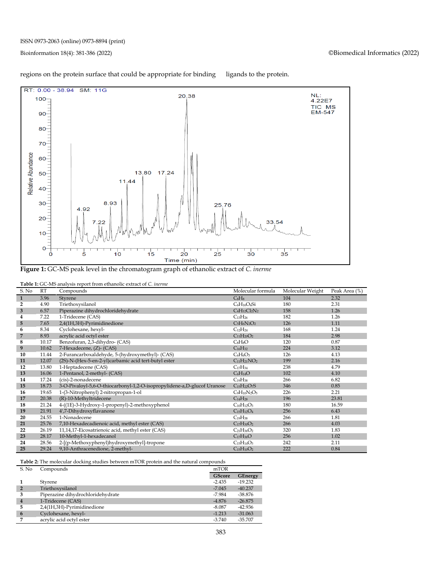

#### regions on the protein surface that could be appropriate for binding ligands to the protein.

**Figure 1:** GC-MS peak level in the chromatogram graph of ethanolic extract of *C. inerme*

| <b>Table 1:</b> GC-MS analysis report from ethanolic extract of C. inerme |  |  |  |  |
|---------------------------------------------------------------------------|--|--|--|--|
|---------------------------------------------------------------------------|--|--|--|--|

| S. No                   | RT    | <b>There is <math>\sigma</math></b> the and foll report from emanding extract of $\sigma$ <i>merme</i><br>Compounds | Molecular formula  | Molecular Weight | Peak Area (%) |
|-------------------------|-------|---------------------------------------------------------------------------------------------------------------------|--------------------|------------------|---------------|
| $\mathbf{1}$            | 3.96  | Styrene                                                                                                             | CsH <sub>8</sub>   | 104              | 2.32          |
| $\overline{2}$          | 4.90  | Triethoxysilanol                                                                                                    | $C_6H_{16}O_4Si$   | 180              | 2.31          |
| 3                       | 6.57  | Piperazine dihydrochloridehydrate                                                                                   | $C_4H_{12}Cl_2N_2$ | 158              | 1.26          |
| $\overline{\mathbf{4}}$ | 7.22  | 1-Tridecene (CAS)                                                                                                   | $C_{13}H_{26}$     | 182              | 1.26          |
| 5 <sup>5</sup>          | 7.65  | 2,4(1H,3H)-Pyrimidinedione                                                                                          | $C_5H_6N_2O_2$     | 126              | 1.11          |
| 6                       | 8.34  | Cyclohexane, hexyl-                                                                                                 | $C_{12}H_{24}$     | 168              | 1.24          |
| $\overline{7}$          | 8.93  | acrylic acid octyl ester                                                                                            | $C_{11}H_{20}O_2$  | 184              | 2.98          |
| 8                       | 10.17 | Benzofuran, 2,3-dihydro- (CAS)                                                                                      | $C_8H_8O$          | 120              | 0.87          |
| 9                       | 10.62 | 7-Hexadecene, (Z)- (CAS)                                                                                            | $C_{16}H_{32}$     | 224              | 3.12          |
| 10                      | 11.44 | 2-Furancarboxaldehyde, 5-(hydroxymethyl)- (CAS)                                                                     | $C_6H_6O_3$        | 126              | 4.13          |
| 11                      | 12.07 | (2S)-N-(Hex-5-en-2-yl)carbamic acid tert-butyl ester                                                                | $C_{11}H_{21}NO_2$ | 199              | 2.16          |
| 12                      | 13.80 | 1-Heptadecene (CAS)                                                                                                 | $C_{17}H_{34}$     | 238              | 4.79          |
| 13                      | 16.06 | 1-Pentanol, 2-methyl- (CAS)                                                                                         | $C_6H_{14}O$       | 102              | 4.10          |
| 14                      | 17.24 | (cis)-2-nonadecene                                                                                                  | $C_{19}H_{38}$     | 266              | 6.82          |
| 15                      | 18.73 | 3-O-Pivaloyl-5,6-O-thiocarbonyl-1,2-O-isopropylidene-a,D-glucof Uranose                                             | $C_{15}H_{22}O_7S$ | 346              | 0.85          |
| 16                      | 19.65 | 1-(3-Nitrophenyl) 2-nitropropan-1-ol                                                                                | $C_9H_{10}N_2O_5$  | 226              | 2.21          |
| 17                      | 20.38 | (R)-10-Methyltridecene                                                                                              | $C_{14}H_{28}$     | 196              | 23.81         |
| 18                      | 21.24 | 4-((1E)-3-Hydroxy-1-propenyl)-2-methoxyphenol                                                                       | $C_{10}H_{12}O_3$  | 180              | 16.59         |
| 19                      | 21.91 | 4',7-Dihydroxyflavanone                                                                                             | $C_{15}H_{12}O_4$  | 256              | 6.43          |
| 20                      | 24.55 | 1-Nonadecene                                                                                                        | $C_{19}H_{38}$     | 266              | 1.81          |
| 21                      | 25.76 | 7,10-Hexadecadienoic acid, methyl ester (CAS)                                                                       | $C_{17}H_{30}O_2$  | 266              | 4.03          |
| 22                      | 26.19 | 11,14,17-Eicosatrienoic acid, methyl ester (CAS)                                                                    | $C_{21}H_{36}O_2$  | 320              | 1.83          |
| 23                      | 28.17 | 10-Methyl-1-hexadecanol                                                                                             | $C_{17}H_{36}O$    | 256              | 1.02          |
| 24                      | 28.56 | 2-[(p-Methoxyphenyl)hydroxymethyl]-tropone                                                                          | $C_{15}H_{14}O_3$  | 242              | 2.11          |
| 25                      | 29.24 | 9,10-Anthracenedione, 2-methyl-                                                                                     | $C_{15}H_{10}O_2$  | 222              | 0.84          |

**Table 2:** The molecular docking studies between mTOR protein and the natural compounds

| S. No          | Compounds                         |               | mTOR           |  |
|----------------|-----------------------------------|---------------|----------------|--|
|                |                                   | <b>GScore</b> | <b>GEnergy</b> |  |
|                | Styrene                           | $-2.435$      | $-19.232$      |  |
| $\overline{2}$ | Triethoxysilanol                  | $-7.045$      | $-40.237$      |  |
| 3              | Piperazine dihydrochloridehydrate | $-7.984$      | $-38.876$      |  |
| $\overline{4}$ | 1-Tridecene (CAS)                 | $-4.876$      | $-26.875$      |  |
| 5              | 2,4(1H,3H)-Pyrimidinedione        | $-8.087$      | $-42.936$      |  |
| 6              | Cyclohexane, hexyl-               | $-1.213$      | $-31.063$      |  |
|                | acrylic acid octyl ester          | $-3.740$      | $-35.707$      |  |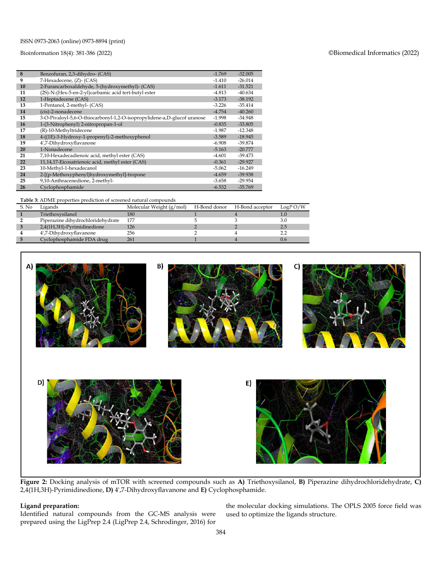#### ISSN 0973-2063 (online) 0973-8894 (print)

#### Bioinformation 18(4): 381-386 (2022) ©Biomedical Informatics (2022)

| 8  | Benzofuran, 2,3-dihydro- (CAS)                                          | $-1.769$ | $-32.005$ |
|----|-------------------------------------------------------------------------|----------|-----------|
| 9  | 7-Hexadecene, (Z)- (CAS)                                                | $-1.410$ | $-26.014$ |
| 10 | 2-Furancarboxaldehyde, 5-(hydroxymethyl)- (CAS)                         | $-1.611$ | $-31.521$ |
| 11 | (2S)-N-(Hex-5-en-2-yl)carbamic acid tert-butyl ester                    | $-4.813$ | $-40.634$ |
| 12 | 1-Heptadecene (CAS)                                                     | $-3.173$ | $-38.192$ |
| 13 | 1-Pentanol, 2-methyl- (CAS)                                             | $-3.226$ | $-35.414$ |
| 14 | (cis)-2-nonadecene                                                      | $-4.754$ | $-40.260$ |
| 15 | 3-O-Pivaloyl-5,6-O-thiocarbonyl-1,2-O-isopropylidene-a,D-glucof uranose | $-1.998$ | $-34.948$ |
| 16 | 1-(3-Nitrophenyl) 2-nitropropan-1-ol                                    | $-0.835$ | $-33.805$ |
| 17 | (R)-10-Methyltridecene                                                  | $-1.987$ | $-12.348$ |
| 18 | 4-((1E)-3-Hydroxy-1-propenyl)-2-methoxyphenol                           | $-3.589$ | $-18.945$ |
| 19 | 4',7-Dihydroxyflavanone                                                 | $-6.908$ | $-39.874$ |
| 20 | 1-Nonadecene                                                            | $-5.163$ | $-20.777$ |
| 21 | 7,10-Hexadecadienoic acid, methyl ester (CAS)                           | $-4.601$ | $-39.473$ |
| 22 | 11,14,17-Eicosatrienoic acid, methyl ester (CAS)                        | $-0.361$ | $-29.927$ |
| 23 | 10-Methyl-1-hexadecanol                                                 | $-5.062$ | $-16.249$ |
| 24 | 2-[(p-Methoxyphenyl)hydroxymethyl]-tropone                              | $-4.659$ | $-39.938$ |
| 25 | 9,10-Anthracenedione, 2-methyl-                                         | $-3.658$ | $-29.954$ |
| 26 | Cyclophosphamide                                                        | $-6.532$ | $-35.769$ |

#### **Table 3:** ADME properties prediction of screened natural compounds

| S. No | Ligands                           | Molecular Weight (g/mol) | H-Bond donor H-Bond acceptor | $LogP$ O/W |
|-------|-----------------------------------|--------------------------|------------------------------|------------|
|       | Triethoxysilanol                  | 180                      |                              |            |
|       | Piperazine dihydrochloridehydrate | 177                      |                              |            |
|       | 2,4(1H,3H)-Pyrimidinedione        | 126                      |                              |            |
|       | 4',7-Dihydroxyflavanone           | 256                      |                              |            |
|       | Cyclophosphamide FDA drug         |                          |                              |            |



**Figure 2:** Docking analysis of mTOR with screened compounds such as **A)** Triethoxysilanol, **B)** Piperazine dihydrochloridehydrate, **C)** 2,4(1H,3H)-Pyrimidinedione, **D)** 4',7-Dihydroxyflavanone and **E)** Cyclophosphamide.

#### **Ligand preparation:**

Identified natural compounds from the GC-MS analysis were prepared using the LigPrep 2.4 (LigPrep 2.4, Schrodinger, 2016) for

the molecular docking simulations. The OPLS 2005 force field was used to optimize the ligands structure.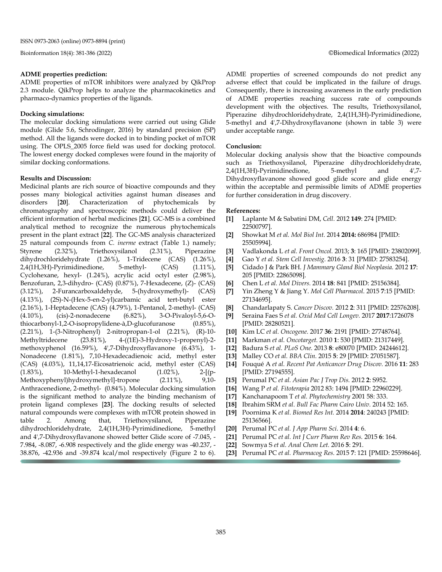#### **ADME properties prediction:**

ADME properties of mTOR inhibitors were analyzed by QikProp 2.3 module. QikProp helps to analyze the pharmacokinetics and pharmaco-dynamics properties of the ligands.

#### **Docking simulations:**

The molecular docking simulations were carried out using Glide module (Glide 5.6, Schrodinger, 2016) by standard precision (SP) method. All the ligands were docked in to binding pocket of mTOR using. The OPLS\_2005 force field was used for docking protocol. The lowest energy docked complexes were found in the majority of similar docking conformations.

#### **Results and Discussion:**

Medicinal plants are rich source of bioactive compounds and they posses many biological activities against human diseases and disorders [**20**]. Characterization of phytochemicals by chromatography and spectroscopic methods could deliver the efficient information of herbal medicines [**21**]. GC-MS is a combined analytical method to recognize the numerous phytochemicals present in the plant extract [**22**]. The GC-MS analysis characterized 25 natural compounds from *C. inerme* extract (Table 1.) namely; Styrene (2.32%), Triethoxysilanol (2.31%), Piperazine dihydrochloridehydrate (1.26%), 1-Tridecene (CAS) (1.26%), 2,4(1H,3H)-Pyrimidinedione, 5-methyl- (CAS) (1.11%), Cyclohexane, hexyl- (1.24%), acrylic acid octyl ester (2.98%), Benzofuran, 2,3-dihydro- (CAS) (0.87%), 7-Hexadecene, (Z)- (CAS) (3.12%), 2-Furancarboxaldehyde, 5-(hydroxymethyl)- (CAS) (4.13%), (2S)-N-(Hex-5-en-2-yl)carbamic acid tert-butyl ester (2.16%), 1-Heptadecene (CAS) (4.79%), 1-Pentanol, 2-methyl- (CAS) (4.10%), (cis)-2-nonadecene (6.82%), 3-O-Pivaloyl-5,6-Othiocarbonyl-1,2-O-isopropylidene-à,D-glucofuranose (0.85%), (2.21%), 1-(3-Nitrophenyl) 2-nitropropan-1-ol (2.21%), (R)-10- Methyltridecene (23.81%), 4-((1E)-3-Hydroxy-1-propenyl)-2 methoxyphenol (16.59%), 4',7-Dihydroxyflavanone (6.43%), 1- Nonadecene (1.81%), 7,10-Hexadecadienoic acid, methyl ester (CAS) (4.03%), 11,14,17-Eicosatrienoic acid, methyl ester (CAS) (1.83%), 10-Methyl-1-hexadecanol (1.02%), 2-[(p-Methoxyphenyl)hydroxymethyl]-tropone (2.11%), 9,10- Anthracenedione, 2-methyl- (0.84%). Molecular docking simulation is the significant method to analyze the binding mechanism of protein ligand complexes [**23**]. The docking results of selected natural compounds were complexes with mTOR protein showed in table 2. Among that, Triethoxysilanol, Piperazine dihydrochloridehydrate, 2,4(1H,3H)-Pyrimidinedione, 5-methyl and 4',7-Dihydroxyflavanone showed better Glide score of -7.045, - 7.984, -8.087, -6.908 respectively and the glide energy was -40.237, - 38.876, -42.936 and -39.874 kcal/mol respectively (Figure 2 to 6).

ADME properties of screened compounds do not predict any adverse effect that could be implicated in the failure of drugs. Consequently, there is increasing awareness in the early prediction of ADME properties reaching success rate of compounds development with the objectives. The results, Triethoxysilanol, Piperazine dihydrochloridehydrate, 2,4(1H,3H)-Pyrimidinedione, 5-methyl and 4',7-Dihydroxyflavanone (shown in table 3) were under acceptable range.

#### **Conclusion:**

Molecular docking analysis show that the bioactive compounds such as Triethoxysilanol, Piperazine dihydrochloridehydrate, 2,4(1H,3H)-Pyrimidinedione, 5-methyl and 4',7-Dihydroxyflavanone showed good glide score and glide energy within the acceptable and permissible limits of ADME properties for further consideration in drug discovery.

#### **References:**

- **[1]** Laplante M & Sabatini DM, *Cell.* 2012 **149**: 274 [PMID: 22500797].
- **[2]** Showkat M *et al. Mol Biol Int.* 2014 **2014:** 686984 [PMID: 25505994].
- **[3]** Vadlakonda L *et al. Front Oncol.* 2013; **3**: 165 [PMID: 23802099].
- **[4]** Gao Y *et al. Stem Cell Investig.* 2016 **3**: 31 [PMID: 27583254].
- **[5]** Cidado J & Park BH. *J Mammary Gland Biol Neoplasia.* 2012 **17**: 205 [PMID: 22865098].
- **[6]** Chen L *et al. Mol Divers.* 2014 **18**: 841 [PMID: 25156384].
- **[7]** Yin Zheng Y & Jiang Y. *Mol Cell Pharmacol.* 2015 **7**:15 [PMID: 27134695].
- **[8]** Chandarlapaty S. *Cancer Discov.* 2012 **2**: 311 [PMID: 22576208].
- **[9]** Seraina Faes S *et al. Oxid Med Cell Longev.* 2017 **2017**:1726078 [PMID: 28280521].
- **[10]** Kim LC *et al. Oncogene.* 2017 **36**: 2191 [PMID: 27748764].
- **[11]** Markman *et al. Oncotarget.* 2010 **1**: 530 [PMID: 21317449].
- **[12]** Badura S *et al. PLoS One.* 2013 **8**: e80070 [PMID: 24244612].
- **[13]** Malley CO *et al. BBA Clin.* 2015 **5**: 29 [PMID: 27051587].
- **[14]** Fouqué A *et al. Recent Pat Anticancer Drug Discov.* 2016 **11**: 283 [PMID: 27194555].
- **[15]** Perumal PC *et al. Asian Pac J Trop Dis.* 2012 **2**: S952.
- **[16]** Wang P *et al. Fitoterapia* 2012 83: 1494 [PMID: 22960229].
- **[17]** Kanchanapoom T *et al. Phytochemistry* 2001 58: 333.
- **[18]** Ibrahim SRM *et al. Bull Fac Pharm Cairo Univ.* 2014 52: 165.
- **[19]** Poornima K *et al. Biomed Res Int.* 2014 **2014**: 240243 [PMID: 25136566].
- **[20]** Perumal PC *et al. J App Pharm Sci*. 2014 **4**: 6.
- **[21]** Perumal PC *et al. Int J Curr Pharm Rev Res.* 2015 **6**: 164.
- **[22]** Sowmya S *et al. Anal Chem Let.* 2016 **5**: 291.
- **[23]** Perumal PC *et al. Pharmacog Res.* 2015 **7**: 121 [PMID: 25598646].